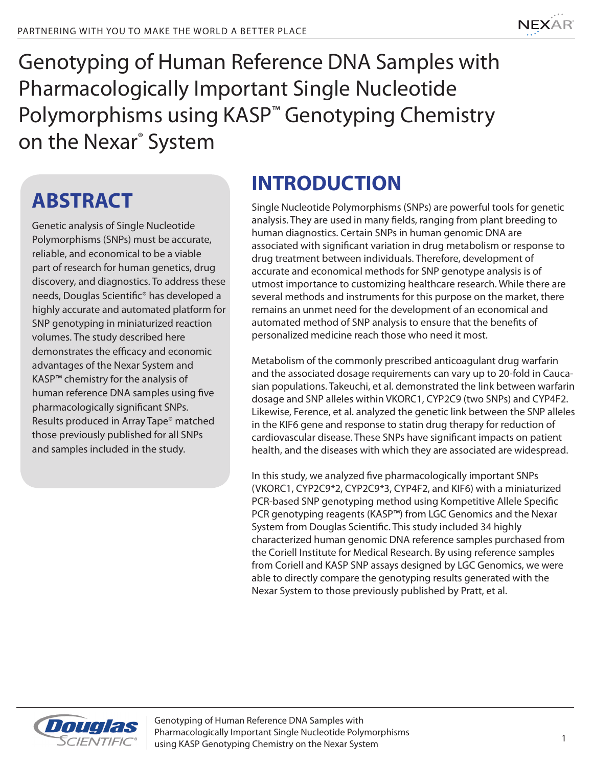

Genotyping of Human Reference DNA Samples with Pharmacologically Important Single Nucleotide Polymorphisms using KASP<sup>™</sup> Genotyping Chemistry on the Nexar® System

## **ABSTRACT**

Genetic analysis of Single Nucleotide Polymorphisms (SNPs) must be accurate, reliable, and economical to be a viable part of research for human genetics, drug discovery, and diagnostics. To address these needs, Douglas Scientific® has developed a highly accurate and automated platform for SNP genotyping in miniaturized reaction volumes. The study described here demonstrates the efficacy and economic advantages of the Nexar System and KASP™ chemistry for the analysis of human reference DNA samples using five pharmacologically significant SNPs. Results produced in Array Tape® matched those previously published for all SNPs and samples included in the study.

## **INTRODUCTION**

Single Nucleotide Polymorphisms (SNPs) are powerful tools for genetic analysis. They are used in many fields, ranging from plant breeding to human diagnostics. Certain SNPs in human genomic DNA are associated with significant variation in drug metabolism or response to drug treatment between individuals. Therefore, development of accurate and economical methods for SNP genotype analysis is of utmost importance to customizing healthcare research. While there are several methods and instruments for this purpose on the market, there remains an unmet need for the development of an economical and automated method of SNP analysis to ensure that the benefits of personalized medicine reach those who need it most.

Metabolism of the commonly prescribed anticoagulant drug warfarin and the associated dosage requirements can vary up to 20-fold in Caucasian populations. Takeuchi, et al. demonstrated the link between warfarin dosage and SNP alleles within VKORC1, CYP2C9 (two SNPs) and CYP4F2. Likewise, Ference, et al. analyzed the genetic link between the SNP alleles in the KIF6 gene and response to statin drug therapy for reduction of cardiovascular disease. These SNPs have significant impacts on patient health, and the diseases with which they are associated are widespread.

In this study, we analyzed five pharmacologically important SNPs (VKORC1, CYP2C9\*2, CYP2C9\*3, CYP4F2, and KIF6) with a miniaturized PCR-based SNP genotyping method using Kompetitive Allele Specific PCR genotyping reagents (KASP™) from LGC Genomics and the Nexar System from Douglas Scientific. This study included 34 highly characterized human genomic DNA reference samples purchased from the Coriell Institute for Medical Research. By using reference samples from Coriell and KASP SNP assays designed by LGC Genomics, we were able to directly compare the genotyping results generated with the Nexar System to those previously published by Pratt, et al.

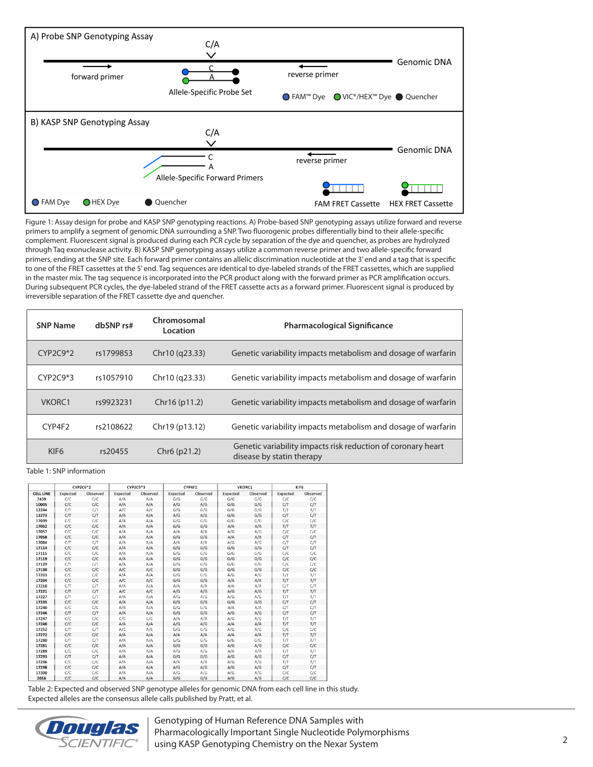

Figure 1: Assay design for probe and KASP SNP genotyping reactions. A) Probe-based SNP genotyping assays utilize forward and reverse primers to amplify a segment of genomic DNA surrounding a SNP. Two fluorogenic probes differentially bind to their allele-specific complement. Fluorescent signal is produced during each PCR cycle by separation of the dye and quencher, as probes are hydrolyzed through Taq exonuclease activity. B) KASP SNP genotyping assays utilize a common reverse primer and two allele-specific forward primers, ending at the SNP site. Each forward primer contains an allelic discrimination nucleotide at the 3' end and a tag that is specific to one of the FRET cassettes at the 5' end. Tag sequences are identical to dye-labeled strands of the FRET cassettes, which are supplied in the master mix. The tag sequence is incorporated into the PCR product along with the forward primer as PCR amplification occurs. During subsequent PCR cycles, the dye-labeled strand of the FRET cassette acts as a forward primer. Fluorescent signal is produced by irreversible separation of the FRET cassette dye and quencher.

| <b>SNP Name</b>  | dbSNP rs# | Chromosomal<br>Location  | <b>Pharmacological Significance</b>                                                       |  |  |
|------------------|-----------|--------------------------|-------------------------------------------------------------------------------------------|--|--|
| $CYP2C9*2$       | rs1799853 | Chr10 (q23.33)           | Genetic variability impacts metabolism and dosage of warfarin                             |  |  |
| $CYP2C9*3$       | rs1057910 | Chr10 (q23.33)           | Genetic variability impacts metabolism and dosage of warfarin                             |  |  |
| VKORC1           | rs9923231 | Chr16(p11.2)             | Genetic variability impacts metabolism and dosage of warfarin                             |  |  |
| CYP4F2           | rs2108622 | Chr19 (p13.12)           | Genetic variability impacts metabolism and dosage of warfarin                             |  |  |
| KIF <sub>6</sub> | rs20455   | Chr <sub>6</sub> (p21.2) | Genetic variability impacts risk reduction of coronary heart<br>disease by statin therapy |  |  |

Table 1: SNP information

|                  |          | CYP2C9*2 |          | CYP2C9*3 |          | CYP4F2   |          | VKORC1   |          | KIF6     |
|------------------|----------|----------|----------|----------|----------|----------|----------|----------|----------|----------|
| <b>CELL LINE</b> | Expected | Observed | Expected | Observed | Expected | Observed | Expected | Observed | Expected | Observed |
| 7439             | C/C      | C/C      | A/A      | A/A      | G/G      | G/G      | G/G      | G/G      | C/C      | C/C      |
| 10005            | C/C      | C/C      | A/A      | A/A      | A/G      | A/G      | G/G      | G/G      | C/T      | C/T      |
| 12244            | C/T      | C/T      | A/C      | A/C      | G/G      | G/G      | G/G      | G/G      | T/T      | T/T      |
| 12273            | C/T      | C/T      | A/A      | A/A      | A/G      | A/G      | G/G      | G/G      | C/T      | C/T      |
| 17039            | C/C      | C/C      | A/A      | A/A      | G/G      | G/G      | G/G      | G/G      | C/C      | C/C      |
| 17052            | C/C      | C/C      | A/A      | A/A      | G/G      | G/G      | A/A      | A/A      | T/T      | T/T      |
| 17057            | C/C      | C/C      | A/A      | A/A      | A/A      | A/A      | A/G      | A/G      | C/C      | C/C      |
| 17058            | C/C      | C/C      | A/A      | A/A      | G/G      | G/G      | A/A      | A/A      | C/T      | C/T      |
| 17084            | C/T      | C/T      | A/A      | A/A      | A/A      | A/A      | A/G      | A/G      | C/T      | C/T      |
| 17114            | C/C      | C/C      | A/A      | A/A      | G/G      | G/G      | G/G      | G/G      | C/T      | C/T      |
| 17115            | C/C      | C/C      | A/A      | A/A      | G/G      | G/G      | G/G      | G/G      | C/C      | C/C      |
| 17119            | C/C      | C/C      | A/A      | A/A      | G/G      | G/G      | G/G      | G/G      | C/C      | C/C      |
| 17129            | C/T      | C/T      | A/A      | A/A      | G/G      | G/G      | G/G      | G/G      | C/C      | C/C      |
| 17130            | C/C      | C/C      | A/C      | A/C      | G/G      | G/G      | G/G      | G/G      | C/C      | C/C      |
| 17203            | C/C      | C/C      | A/A      | A/A      | G/G      | G/G      | A/G      | A/G      | T/T      | T/T      |
| 17204            | C/C      | C/C      | A/C      | A/C      | G/G      | G/G      | A/A      | A/A      | T/T      | T/T      |
| 17210            | C/T      | C/T      | A/A      | A/A      | A/A      | A/A      | A/A      | A/A      | C/T      | C/T      |
| 17221            | C/T      | C/T      | A/C      | A/C      | A/G      | A/G      | A/G      | A/G      | T/T      | T/T      |
| 17227            | C/T      | C/T      | A/A      | A/A      | A/G      | A/G      | A/G      | A/G      | T/T      | T/T      |
| 17235            | C/C      | C/C      | A/A      | A/A      | G/G      | G/G      | G/G      | G/G      | C/T      | C/T      |
| 17240            | C/C      | C/C      | A/A      | A/A      | G/G      | G/G      | A/A      | A/A      | C/T      | C/T      |
| 17246            | C/T      | C/T      | A/A      | A/A      | G/G      | G/G      | A/G      | A/G      | C/T      | C/T      |
| 17247            | C/C      | C/C      | C/C      | C/C      | A/A      | A/A      | A/G      | A/G      | T/T      | T/T      |
| 17248            | C/C      | C/C      | A/A      | A/A      | A/G      | A/G      | A/A      | A/A      | T/T      | T/T      |
| 17252            | C/T      | C/T      | A/C      | A/C      | G/G      | G/G      | A/G      | A/G      | C/C      | C/C      |
| 17272            | C/C      | C/C      | A/A      | A/A      | A/A      | A/A      | A/A      | A/A      | T/T      | T/T      |
| 17280            | C/T      | C/T      | A/A      | A/A      | G/G      | G/G      | G/G      | G/G      | T/T      | T/T      |
| 17281            | C/C      | C/C      | A/A      | A/A      | G/G      | G/G      | A/G      | A/G      | C/C      | C/C      |
| 17289            | C/C      | C/C      | A/A      | A/A      | A/G      | A/G      | A/A      | A/A      | T/T      | T/T      |
| 17293            | C/T      | C/T      | A/A      | A/A      | G/G      | G/G      | A/G      | A/G      | C/T      | C/T      |
| 17296            | C/C      | C/C      | A/A      | A/A      | A/A      | A/A      | A/G      | A/G      | T/T      | T/T      |
| 17298            | C/C      | C/C      | A/A      | A/A      | A/G      | A/G      | A/G      | A/G      | C/T      | C/T      |
| 17300            | C/C      | C/C      | A/A      | A/A      | A/G      | A/G      | A/G      | A/G      | C/C      | C/C      |
| 2016             | C/C      | C/C      | A/A      | A/A      | G/G      | G/G      | A/G      | A/G      | C/C      | C/C      |

Table 2: Expected and observed SNP genotype alleles for genomic DNA from each cell line in this study. Expected alleles are the consensus allele calls published by Pratt, et al.



Genotyping of Human Reference DNA Samples with Pharmacologically Important Single Nucleotide Polymorphisms using KASP Genotyping Chemistry on the Nexar System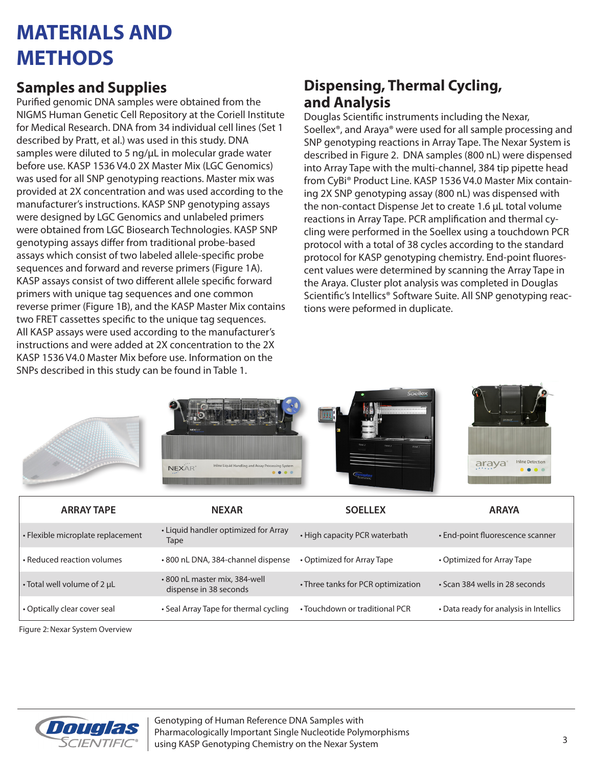### **MATERIALS AND METHODS**

#### **Samples and Supplies**

Purified genomic DNA samples were obtained from the NIGMS Human Genetic Cell Repository at the Coriell Institute for Medical Research. DNA from 34 individual cell lines (Set 1 described by Pratt, et al.) was used in this study. DNA samples were diluted to 5 ng/uL in molecular grade water before use. KASP 1536 V4.0 2X Master Mix (LGC Genomics) was used for all SNP genotyping reactions. Master mix was provided at 2X concentration and was used according to the manufacturer's instructions. KASP SNP genotyping assays were designed by LGC Genomics and unlabeled primers were obtained from LGC Biosearch Technologies. KASP SNP genotyping assays differ from traditional probe-based assays which consist of two labeled allele-specific probe sequences and forward and reverse primers (Figure 1A). KASP assays consist of two different allele specific forward primers with unique tag sequences and one common reverse primer (Figure 1B), and the KASP Master Mix contains two FRET cassettes specific to the unique tag sequences. All KASP assays were used according to the manufacturer's instructions and were added at 2X concentration to the 2X KASP 1536 V4.0 Master Mix before use. Information on the SNPs described in this study can be found in Table 1.

### **Dispensing, Thermal Cycling, and Analysis**

Douglas Scientific instruments including the Nexar, Soellex®, and Araya® were used for all sample processing and SNP genotyping reactions in Array Tape. The Nexar System is described in Figure 2. DNA samples (800 nL) were dispensed into Array Tape with the multi-channel, 384 tip pipette head from CyBi® Product Line. KASP 1536 V4.0 Master Mix containing 2X SNP genotyping assay (800 nL) was dispensed with the non-contact Dispense Jet to create 1.6 µL total volume reactions in Array Tape. PCR amplification and thermal cycling were performed in the Soellex using a touchdown PCR protocol with a total of 38 cycles according to the standard protocol for KASP genotyping chemistry. End-point fluorescent values were determined by scanning the Array Tape in the Araya. Cluster plot analysis was completed in Douglas Scientific's Intellics® Software Suite. All SNP genotyping reactions were peformed in duplicate.









| <b>ARRAY TAPE</b>                 | <b>NEXAR</b>                                           | <b>SOELLEX</b>                     | <b>ARAYA</b>                           |
|-----------------------------------|--------------------------------------------------------|------------------------------------|----------------------------------------|
| • Flexible microplate replacement | • Liquid handler optimized for Array<br>Tape           | • High capacity PCR waterbath      | • End-point fluorescence scanner       |
| • Reduced reaction volumes        | •800 nL DNA, 384-channel dispense                      | • Optimized for Array Tape         | • Optimized for Array Tape             |
| • Total well volume of 2 µL       | •800 nL master mix, 384-well<br>dispense in 38 seconds | • Three tanks for PCR optimization | • Scan 384 wells in 28 seconds         |
| • Optically clear cover seal      | • Seal Array Tape for thermal cycling                  | • Touchdown or traditional PCR     | • Data ready for analysis in Intellics |

Figure 2: Nexar System Overview